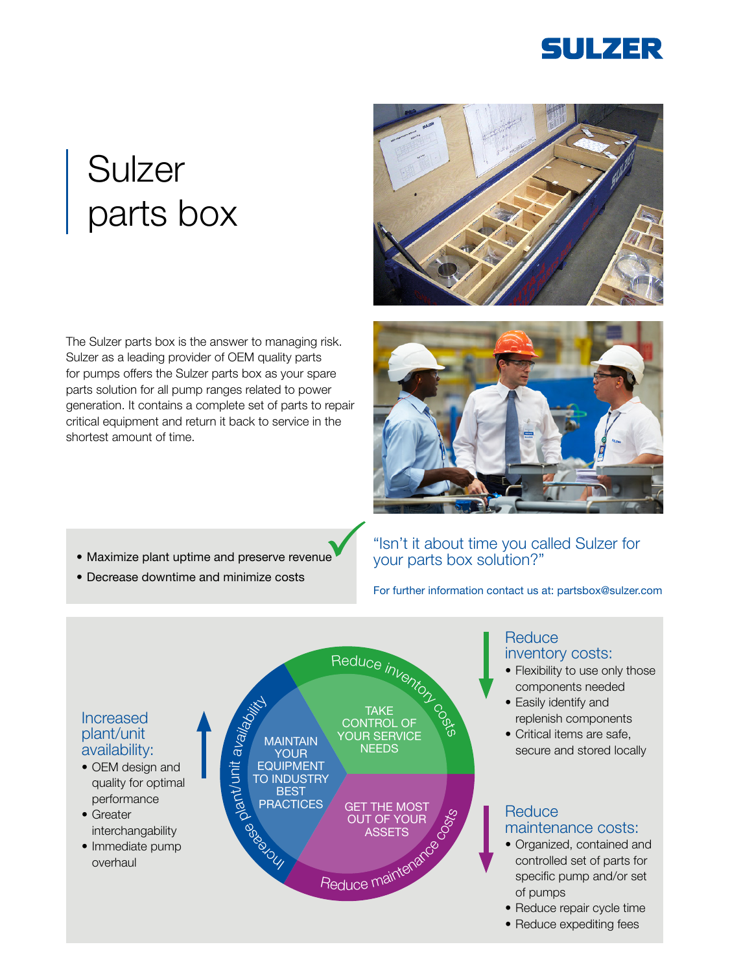

# **Sulzer** parts box

The Sulzer parts box is the answer to managing risk. Sulzer as a leading provider of OEM quality parts for pumps offers the Sulzer parts box as your spare parts solution for all pump ranges related to power generation. It contains a complete set of parts to repair critical equipment and return it back to service in the shortest amount of time.





- Maximize plant uptime and preserve revenue
- Decrease downtime and minimize costs

## "Isn't it about time you called Sulzer for your parts box solution?"

For further information contact us at: partsbox@sulzer.com

## Increased plant/unit availability:

- OEM design and quality for optimal performance
- Greater interchangability
- Immediate pump overhaul



# **Reduce** inventory costs:

- Flexibility to use only those components needed
- Easily identify and replenish components
- Critical items are safe, secure and stored locally

#### **Reduce** maintenance costs:

- Organized, contained and controlled set of parts for specific pump and/or set of pumps
- Reduce repair cycle time
- Reduce expediting fees